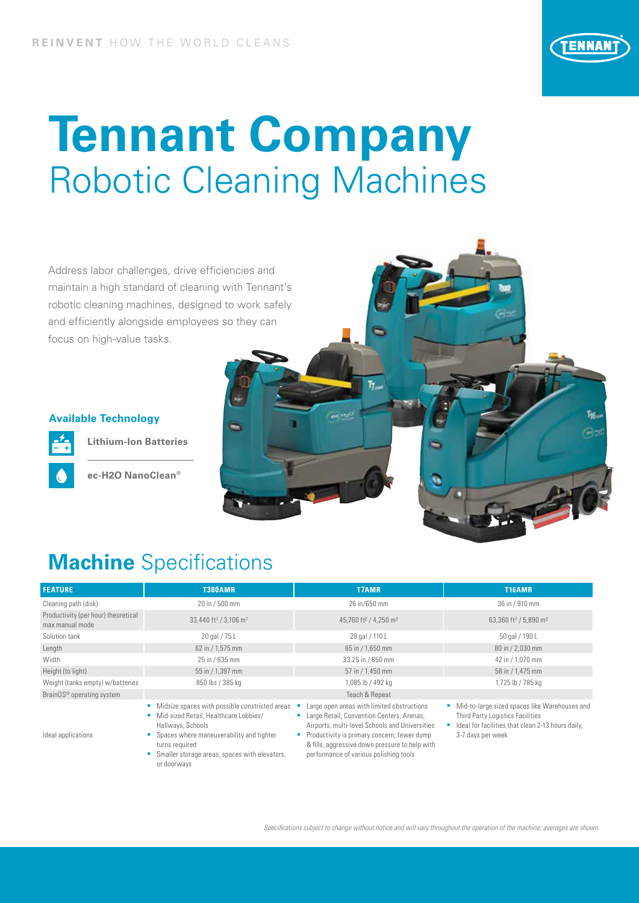

# **Tennant Company**  Robotic Cleaning Machines

Address labor challenges, drive efficiencies and maintain a high standard of cleaning with Tennant's robotic cleaning machines, designed to work safely and efficiently alongside employees so they can focus on high-value tasks.

### **Available Technology**



**Lithium-Ion Batteries**

**ec-H2O NanoClean®**



### **Machine** Specifications

| <b>FEATURE</b>                                         | <b>T380AMR</b>                                                                                                                                                                                                                             | <b>T7AMR</b>                                                                                                                                                                                                                                                                         | T16AMR                                                                                                                                                      |
|--------------------------------------------------------|--------------------------------------------------------------------------------------------------------------------------------------------------------------------------------------------------------------------------------------------|--------------------------------------------------------------------------------------------------------------------------------------------------------------------------------------------------------------------------------------------------------------------------------------|-------------------------------------------------------------------------------------------------------------------------------------------------------------|
| Cleaning path (disk)                                   | 20 in / 500 mm                                                                                                                                                                                                                             | 26 in/650 mm                                                                                                                                                                                                                                                                         | 36 in / 910 mm                                                                                                                                              |
| Productivity (per hour) theoretical<br>max manual mode | 33,440 ft <sup>2</sup> / 3,106 m <sup>2</sup>                                                                                                                                                                                              | 45,760 ft <sup>2</sup> / 4,250 m <sup>2</sup>                                                                                                                                                                                                                                        | 63,360 ft <sup>2</sup> / 5,890 m <sup>2</sup>                                                                                                               |
| Solution tank                                          | 20 gal / 75 L                                                                                                                                                                                                                              | 29 gal / 110 L                                                                                                                                                                                                                                                                       | 50 gal / 190 L                                                                                                                                              |
| Length                                                 | 62 in / 1,575 mm                                                                                                                                                                                                                           | 65 in / 1,650 mm                                                                                                                                                                                                                                                                     | 80 in / 2,030 mm                                                                                                                                            |
| Width                                                  | 25 in / 635 mm                                                                                                                                                                                                                             | 33.25 in / 850 mm                                                                                                                                                                                                                                                                    | 42 in / 1,070 mm                                                                                                                                            |
| Height (to light)                                      | 55 in / 1,397 mm                                                                                                                                                                                                                           | 57 in / 1,450 mm                                                                                                                                                                                                                                                                     | 58 in / 1,475 mm                                                                                                                                            |
| Weight (tanks empty) w/batteries                       | 850 lbs / 385 kg                                                                                                                                                                                                                           | 1,085 lb / 492 kg                                                                                                                                                                                                                                                                    | 1,725 lb / 785 kg                                                                                                                                           |
| BrainOS <sup>®</sup> operating system                  |                                                                                                                                                                                                                                            | Teach & Repeat                                                                                                                                                                                                                                                                       |                                                                                                                                                             |
| Ideal applications                                     | Midsize spaces with possible constricted areas<br>Mid-sized Retail, Healthcare Lobbies/<br>Hallways, Schools<br>Spaces where maneuverability and tighter<br>turns required<br>Smaller storage areas, spaces with elevators,<br>or doorways | Large open areas with limited obstructions<br>Large Retail, Convention Centers, Arenas,<br>Airports, multi-level Schools and Universities<br>Productivity is primary concern; fewer dump<br>& fills, aggressive down pressure to help with<br>performance of various polishing tools | Mid-to-large sized spaces like Warehouses and<br>Third Party Logistics Facilities<br>Ideal for facilities that clean 2-13 hours daily,<br>3-7 days per week |